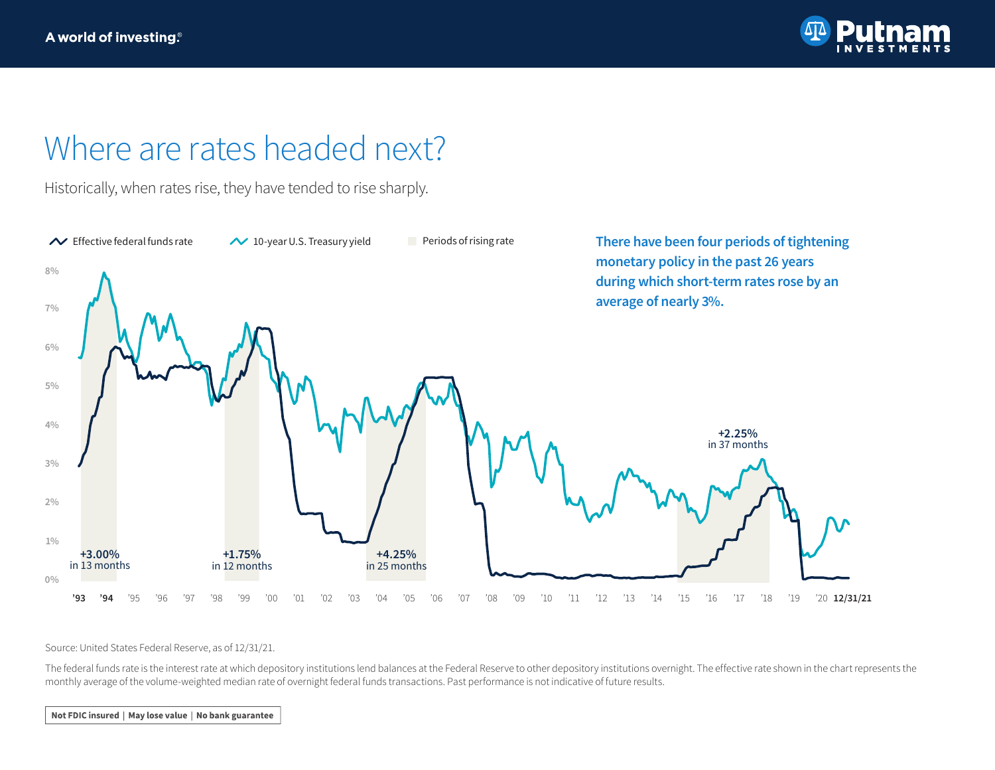

## Where are rates headed next?

Historically, when rates rise, they have tended to rise sharply.



Source: United States Federal Reserve, as of 12/31/21.

The federal funds rate is the interest rate at which depository institutions lend balances at the Federal Reserve to other depository institutions overnight. The effective rate shown in the chart represents the monthly average of the volume-weighted median rate of overnight federal funds transactions. Past performance is not indicative of future results.

Not FDIC insured | May lose value | No bank guarantee